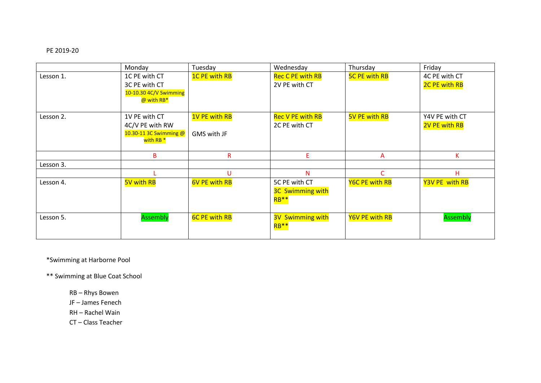## PE 2019-20

|           | Monday                                                                             | Tuesday                             | Wednesday                                                    | Thursday              | Friday                          |
|-----------|------------------------------------------------------------------------------------|-------------------------------------|--------------------------------------------------------------|-----------------------|---------------------------------|
| Lesson 1. | 1C PE with CT<br>3C PE with CT<br>10-10.30 4C/V Swimming<br>@ with RB*             | <b>1C PE with RB</b>                | <b>Rec C PE with RB</b><br>2V PE with CT                     | <b>5C PE with RB</b>  | 4C PE with CT<br>2C PE with RB  |
| Lesson 2. | 1V PE with CT<br>4C/V PE with RW<br>10.30-11 3C Swimming @<br>with RB <sup>*</sup> | <b>1V PE with RB</b><br>GMS with JF | <b>Rec V PE with RB</b><br>2C PE with CT                     | <b>5V PE with RB</b>  | Y4V PE with CT<br>2V PE with RB |
|           | B                                                                                  | $\mathsf{R}$                        | E.                                                           | $\overline{A}$        | K                               |
| Lesson 3. |                                                                                    |                                     |                                                              |                       |                                 |
|           |                                                                                    | U                                   | N                                                            | C                     | н                               |
| Lesson 4. | 5V with RB                                                                         | <b>6V PE with RB</b>                | 5C PE with CT<br><b>3C Swimming with</b><br>RB <sup>**</sup> | <b>Y6C PE with RB</b> | Y3V PE with RB                  |
| Lesson 5. | Assembly                                                                           | <b>6C PE with RB</b>                | <b>3V Swimming with</b><br>RB <sup>**</sup>                  | Y6V PE with RB        | Assembly                        |

\*Swimming at Harborne Pool

\*\* Swimming at Blue Coat School

RB – Rhys Bowen

JF – James Fenech

RH – Rachel Wain

CT – Class Teacher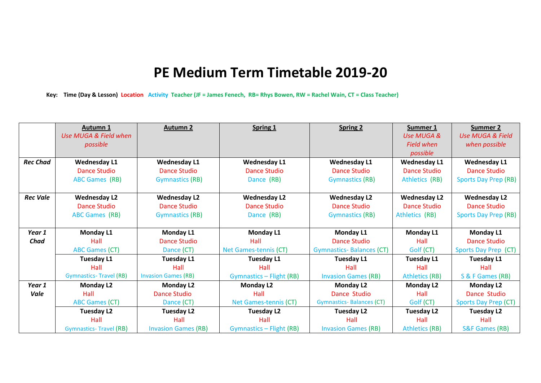## **PE Medium Term Timetable 2019-20**

**Key: Time (Day & Lesson) Location Activity Teacher (JF = James Fenech, RB= Rhys Bowen, RW = Rachel Wain, CT = Class Teacher)**

|                 | <b>Autumn 1</b>               | <b>Autumn 2</b>            | Spring 1                        | <b>Spring 2</b>                 | Summer 1              | <b>Summer 2</b>             |
|-----------------|-------------------------------|----------------------------|---------------------------------|---------------------------------|-----------------------|-----------------------------|
|                 | Use MUGA & Field when         |                            |                                 |                                 | Use MUGA &            | <b>Use MUGA &amp; Field</b> |
|                 | possible                      |                            |                                 |                                 | <b>Field when</b>     | when possible               |
|                 |                               |                            |                                 |                                 | possible              |                             |
| <b>Rec Chad</b> | <b>Wednesday L1</b>           | <b>Wednesday L1</b>        | <b>Wednesday L1</b>             | <b>Wednesday L1</b>             | <b>Wednesday L1</b>   | <b>Wednesday L1</b>         |
|                 | Dance Studio                  | Dance Studio               | Dance Studio                    | Dance Studio                    | <b>Dance Studio</b>   | <b>Dance Studio</b>         |
|                 | <b>ABC Games (RB)</b>         | <b>Gymnastics (RB)</b>     | Dance (RB)                      | <b>Gymnastics (RB)</b>          | Athletics (RB)        | <b>Sports Day Prep (RB)</b> |
| <b>Rec Vale</b> | <b>Wednesday L2</b>           | <b>Wednesday L2</b>        | <b>Wednesday L2</b>             | <b>Wednesday L2</b>             | <b>Wednesday L2</b>   | <b>Wednesday L2</b>         |
|                 | <b>Dance Studio</b>           | <b>Dance Studio</b>        | <b>Dance Studio</b>             | <b>Dance Studio</b>             | <b>Dance Studio</b>   | <b>Dance Studio</b>         |
|                 | <b>ABC Games (RB)</b>         | <b>Gymnastics (RB)</b>     | Dance (RB)                      | <b>Gymnastics (RB)</b>          | Athletics (RB)        | <b>Sports Day Prep (RB)</b> |
| Year 1          | Monday L1                     | <b>Monday L1</b>           | Monday L1                       | <b>Monday L1</b>                | <b>Monday L1</b>      | Monday L1                   |
| Chad            | Hall                          | <b>Dance Studio</b>        | Hall                            | <b>Dance Studio</b>             | Hall                  | <b>Dance Studio</b>         |
|                 | <b>ABC Games (CT)</b>         | Dance (CT)                 | Net Games-tennis (CT)           | <b>Gymnastics-Balances (CT)</b> | Golf (CT)             | Sports Day Prep (CT)        |
|                 | <b>Tuesday L1</b>             | Tuesday L1                 | <b>Tuesday L1</b>               | <b>Tuesday L1</b>               | <b>Tuesday L1</b>     | <b>Tuesday L1</b>           |
|                 | Hall                          | Hall                       | Hall                            | Hall                            | Hall                  | Hall                        |
|                 | <b>Gymnastics-Travel (RB)</b> | <b>Invasion Games (RB)</b> | <b>Gymnastics - Flight (RB)</b> | <b>Invasion Games (RB)</b>      | <b>Athletics (RB)</b> | S & F Games (RB)            |
| Year 1          | <b>Monday L2</b>              | Monday L2                  | <b>Monday L2</b>                | <b>Monday L2</b>                | <b>Monday L2</b>      | <b>Monday L2</b>            |
| Vale            | Hall                          | <b>Dance Studio</b>        | Hall                            | Dance Studio                    | Hall                  | Dance Studio                |
|                 | <b>ABC Games (CT)</b>         | Dance (CT)                 | Net Games-tennis (CT)           | <b>Gymnastics-Balances (CT)</b> | Golf (CT)             | Sports Day Prep (CT)        |
|                 | Tuesday L2                    | Tuesday L2                 | <b>Tuesday L2</b>               | <b>Tuesday L2</b>               | <b>Tuesday L2</b>     | Tuesday L2                  |
|                 | Hall                          | Hall                       | Hall                            | Hall                            | Hall                  | Hall                        |
|                 | <b>Gymnastics-Travel (RB)</b> | <b>Invasion Games (RB)</b> | <b>Gymnastics - Flight (RB)</b> | <b>Invasion Games (RB)</b>      | <b>Athletics (RB)</b> | <b>S&amp;F Games (RB)</b>   |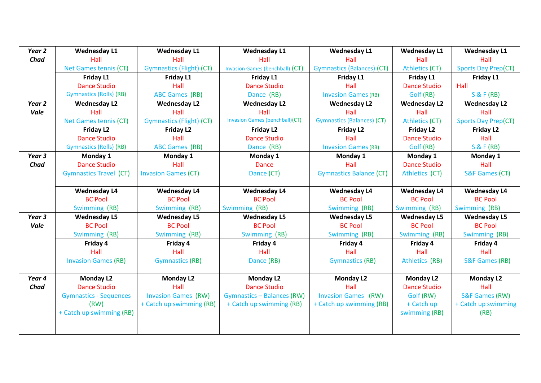| Year <sub>2</sub> | <b>Wednesday L1</b>            | <b>Wednesday L1</b>             | <b>Wednesday L1</b>                   | <b>Wednesday L1</b>               | <b>Wednesday L1</b>   | <b>Wednesday L1</b>        |
|-------------------|--------------------------------|---------------------------------|---------------------------------------|-----------------------------------|-----------------------|----------------------------|
| <b>Chad</b>       | Hall                           | Hall                            | Hall                                  | Hall                              | Hall                  | Hall                       |
|                   | Net Games tennis (CT)          | <b>Gymnastics (Flight) (CT)</b> | Invasion Games (benchball) (CT)       | <b>Gymnastics (Balances) (CT)</b> | <b>Athletics (CT)</b> | <b>Sports Day Prep(CT)</b> |
|                   | Friday L1                      | Friday L1                       | Friday L1                             | Friday L1                         | Friday L1             | Friday L1                  |
|                   | <b>Dance Studio</b>            | Hall                            | <b>Dance Studio</b>                   | Hall                              | <b>Dance Studio</b>   | Hall                       |
|                   | <b>Gymnastics (Rolls) (RB)</b> | <b>ABC Games (RB)</b>           | Dance (RB)                            | <b>Invasion Games (RB)</b>        | Golf (RB)             | <b>S &amp; F (RB)</b>      |
| Year <sub>2</sub> | <b>Wednesday L2</b>            | <b>Wednesday L2</b>             | <b>Wednesday L2</b>                   | <b>Wednesday L2</b>               | <b>Wednesday L2</b>   | <b>Wednesday L2</b>        |
| Vale              | Hall                           | Hall                            | Hall                                  | Hall                              | Hall                  | Hall                       |
|                   | Net Games tennis (CT)          | <b>Gymnastics (Flight) (CT)</b> | <b>Invasion Games (benchball)(CT)</b> | <b>Gymnastics (Balances) (CT)</b> | <b>Athletics (CT)</b> | <b>Sports Day Prep(CT)</b> |
|                   | Friday L <sub>2</sub>          | Friday L2                       | Friday L2                             | <b>Friday L2</b>                  | Friday L <sub>2</sub> | Friday L2                  |
|                   | <b>Dance Studio</b>            | Hall                            | <b>Dance Studio</b>                   | Hall                              | <b>Dance Studio</b>   | Hall                       |
|                   | <b>Gymnastics (Rolls) (RB)</b> | <b>ABC Games (RB)</b>           | Dance (RB)                            | <b>Invasion Games (RB)</b>        | Golf (RB)             | <b>S &amp; F (RB)</b>      |
| Year <sub>3</sub> | Monday 1                       | Monday 1                        | Monday 1                              | Monday 1                          | Monday 1              | Monday 1                   |
| <b>Chad</b>       | <b>Dance Studio</b>            | Hall                            | <b>Dance</b>                          | Hall                              | <b>Dance Studio</b>   | Hall                       |
|                   | <b>Gymnastics Travel (CT)</b>  | <b>Invasion Games (CT)</b>      | Dance (CT)                            | <b>Gymnastics Balance (CT)</b>    | Athletics (CT)        | S&F Games (CT)             |
|                   | <b>Wednesday L4</b>            | <b>Wednesday L4</b>             | <b>Wednesday L4</b>                   | <b>Wednesday L4</b>               | <b>Wednesday L4</b>   | <b>Wednesday L4</b>        |
|                   | <b>BC Pool</b>                 | <b>BC Pool</b>                  | <b>BC Pool</b>                        | <b>BC Pool</b>                    | <b>BC Pool</b>        | <b>BC Pool</b>             |
|                   | Swimming (RB)                  | Swimming (RB)                   | Swimming (RB)                         | Swimming (RB)                     | Swimming (RB)         | Swimming (RB)              |
| Year <sub>3</sub> | <b>Wednesday L5</b>            | <b>Wednesday L5</b>             | <b>Wednesday L5</b>                   | <b>Wednesday L5</b>               | <b>Wednesday L5</b>   | <b>Wednesday L5</b>        |
| Vale              | <b>BC Pool</b>                 | <b>BC Pool</b>                  | <b>BC Pool</b>                        | <b>BC Pool</b>                    | <b>BC Pool</b>        | <b>BC Pool</b>             |
|                   | Swimming (RB)                  | Swimming (RB)                   | Swimming (RB)                         | Swimming (RB)                     | Swimming (RB)         | Swimming (RB)              |
|                   | Friday 4                       | Friday 4                        | Friday 4                              | Friday 4                          | Friday 4              | Friday 4                   |
|                   | Hall                           | Hall                            | Hall                                  | Hall                              | Hall                  | Hall                       |
|                   | <b>Invasion Games (RB)</b>     | <b>Gymnastics (RB)</b>          | Dance (RB)                            | <b>Gymnastics (RB)</b>            | Athletics (RB)        | <b>S&amp;F Games (RB)</b>  |
| Year 4            | <b>Monday L2</b>               | <b>Monday L2</b>                | <b>Monday L2</b>                      | <b>Monday L2</b>                  | <b>Monday L2</b>      | <b>Monday L2</b>           |
| Chad              | <b>Dance Studio</b>            | Hall                            | <b>Dance Studio</b>                   | Hall                              | <b>Dance Studio</b>   | Hall                       |
|                   | <b>Gymnastics - Sequences</b>  | <b>Invasion Games (RW)</b>      | <b>Gymnastics - Balances (RW)</b>     | <b>Invasion Games (RW)</b>        | Golf (RW)             | <b>S&amp;F Games (RW)</b>  |
|                   | (RW)                           | + Catch up swimming (RB)        | + Catch up swimming (RB)              | + Catch up swimming (RB)          | + Catch up            | + Catch up swimming        |
|                   | + Catch up swimming (RB)       |                                 |                                       |                                   | swimming (RB)         | (RB)                       |
|                   |                                |                                 |                                       |                                   |                       |                            |
|                   |                                |                                 |                                       |                                   |                       |                            |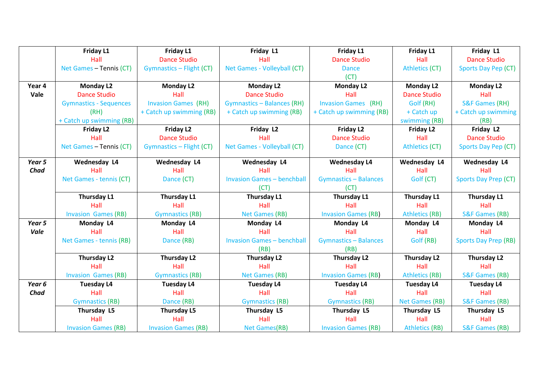|             | Friday L1                     | Friday L1                       | Friday L1                         | <b>Friday L1</b>             | Friday L1             | Friday L1                   |
|-------------|-------------------------------|---------------------------------|-----------------------------------|------------------------------|-----------------------|-----------------------------|
|             | Hall                          | <b>Dance Studio</b>             | Hall                              | <b>Dance Studio</b>          | Hall                  | <b>Dance Studio</b>         |
|             | Net Games - Tennis (CT)       | <b>Gymnastics - Flight (CT)</b> | Net Games - Volleyball (CT)       | <b>Dance</b>                 | <b>Athletics (CT)</b> | Sports Day Pep (CT)         |
|             |                               |                                 |                                   | (CT)                         |                       |                             |
| Year 4      | <b>Monday L2</b>              | <b>Monday L2</b>                | <b>Monday L2</b>                  | <b>Monday L2</b>             | <b>Monday L2</b>      | <b>Monday L2</b>            |
| Vale        | <b>Dance Studio</b>           | Hall                            | <b>Dance Studio</b>               | Hall                         | <b>Dance Studio</b>   | Hall                        |
|             | <b>Gymnastics - Sequences</b> | <b>Invasion Games (RH)</b>      | <b>Gymnastics - Balances (RH)</b> | <b>Invasion Games</b> (RH)   | Golf (RH)             | <b>S&amp;F Games (RH)</b>   |
|             | (RH)                          | + Catch up swimming (RB)        | + Catch up swimming (RB)          | + Catch up swimming (RB)     | + Catch up            | + Catch up swimming         |
|             | + Catch up swimming (RB)      |                                 |                                   |                              | swimming (RB)         | (RB)                        |
|             | Friday L2                     | Friday L2                       | Friday L2                         | <b>Friday L2</b>             | Friday L2             | Friday L2                   |
|             | Hall                          | <b>Dance Studio</b>             | Hall                              | <b>Dance Studio</b>          | Hall                  | <b>Dance Studio</b>         |
|             | Net Games - Tennis (CT)       | Gymnastics - Flight (CT)        | Net Games - Volleyball (CT)       | Dance (CT)                   | <b>Athletics (CT)</b> | Sports Day Pep (CT)         |
| Year 5      | Wednesday L4                  | Wednesday L4                    | Wednesday L4                      | <b>Wednesday L4</b>          | Wednesday L4          | Wednesday L4                |
| <b>Chad</b> | Hall                          | Hall                            | Hall                              | Hall                         | Hall                  | Hall                        |
|             | Net Games - tennis (CT)       | Dance (CT)                      | <b>Invasion Games - benchball</b> | <b>Gymnastics - Balances</b> | Golf (CT)             | <b>Sports Day Prep (CT)</b> |
|             |                               |                                 | (CT)                              | (CT)                         |                       |                             |
|             | Thursday L1                   | <b>Thursday L1</b>              | <b>Thursday L1</b>                | Thursday L1                  | Thursday L1           | Thursday L1                 |
|             | Hall                          | Hall                            | Hall                              | Hall                         | Hall                  | Hall                        |
|             | <b>Invasion Games (RB)</b>    | <b>Gymnastics (RB)</b>          | Net Games (RB)                    | <b>Invasion Games (RB)</b>   | <b>Athletics (RB)</b> | <b>S&amp;F Games (RB)</b>   |
| Year 5      | Monday L4                     | Monday L4                       | Monday L4                         | Monday L4                    | Monday L4             | Monday L4                   |
| Vale        | Hall                          | Hall                            | Hall                              | Hall                         | Hall                  | Hall                        |
|             | Net Games - tennis (RB)       | Dance (RB)                      | <b>Invasion Games - benchball</b> | <b>Gymnastics - Balances</b> | Golf (RB)             | <b>Sports Day Prep (RB)</b> |
|             |                               |                                 | (RB)                              | (RB)                         |                       |                             |
|             | <b>Thursday L2</b>            | Thursday L2                     | <b>Thursday L2</b>                | Thursday L2                  | <b>Thursday L2</b>    | <b>Thursday L2</b>          |
|             | Hall                          | Hall                            | Hall                              | Hall                         | Hall                  | Hall                        |
|             | <b>Invasion Games (RB)</b>    | <b>Gymnastics (RB)</b>          | <b>Net Games (RB)</b>             | <b>Invasion Games (RB)</b>   | <b>Athletics (RB)</b> | <b>S&amp;F Games (RB)</b>   |
| Year 6      | <b>Tuesday L4</b>             | <b>Tuesday L4</b>               | <b>Tuesday L4</b>                 | <b>Tuesday L4</b>            | <b>Tuesday L4</b>     | <b>Tuesday L4</b>           |
| <b>Chad</b> | Hall                          | Hall                            | Hall                              | Hall                         | Hall                  | Hall                        |
|             | <b>Gymnastics (RB)</b>        | Dance (RB)                      | <b>Gymnastics (RB)</b>            | <b>Gymnastics (RB)</b>       | <b>Net Games (RB)</b> | S&F Games (RB)              |
|             | Thursday L5                   | <b>Thursday L5</b>              | Thursday L5                       | Thursday L5                  | Thursday L5           | Thursday L5                 |
|             | Hall                          | Hall                            | Hall                              | Hall                         | Hall                  | Hall                        |
|             | <b>Invasion Games (RB)</b>    | <b>Invasion Games (RB)</b>      | <b>Net Games(RB)</b>              | <b>Invasion Games (RB)</b>   | <b>Athletics (RB)</b> | <b>S&amp;F Games (RB)</b>   |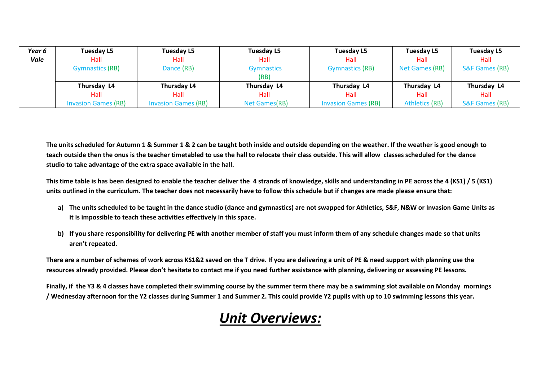| Year <sub>6</sub> | <b>Tuesday L5</b>          | <b>Tuesday L5</b>          | Tuesday L5        | <b>Tuesday L5</b>          | Tuesday L5            | <b>Tuesday L5</b>         |
|-------------------|----------------------------|----------------------------|-------------------|----------------------------|-----------------------|---------------------------|
| Vale              | Hall                       | Hall                       | Hall              | Hall                       | Hall                  | Hall                      |
|                   | <b>Gymnastics (RB)</b>     | Dance (RB)                 | <b>Gymnastics</b> | <b>Gymnastics (RB)</b>     | Net Games (RB)        | <b>S&amp;F Games (RB)</b> |
|                   |                            |                            | (RB)              |                            |                       |                           |
|                   | Thursday L4                | Thursday L4                | Thursday L4       | Thursday L4                | Thursday L4           | Thursday L4               |
|                   | Hall                       | Hall                       | Hall              | Hall                       | Hall                  | Hall                      |
|                   | <b>Invasion Games (RB)</b> | <b>Invasion Games (RB)</b> | Net Games(RB)     | <b>Invasion Games (RB)</b> | <b>Athletics (RB)</b> | <b>S&amp;F Games (RB)</b> |

**The units scheduled for Autumn 1 & Summer 1 & 2 can be taught both inside and outside depending on the weather. If the weather is good enough to teach outside then the onus is the teacher timetabled to use the hall to relocate their class outside. This will allow classes scheduled for the dance studio to take advantage of the extra space available in the hall.** 

**This time table is has been designed to enable the teacher deliver the 4 strands of knowledge, skills and understanding in PE across the 4 (KS1) / 5 (KS1) units outlined in the curriculum. The teacher does not necessarily have to follow this schedule but if changes are made please ensure that:**

- **a) The units scheduled to be taught in the dance studio (dance and gymnastics) are not swapped for Athletics, S&F, N&W or Invasion Game Units as it is impossible to teach these activities effectively in this space.**
- **b) If you share responsibility for delivering PE with another member of staff you must inform them of any schedule changes made so that units aren't repeated.**

**There are a number of schemes of work across KS1&2 saved on the T drive. If you are delivering a unit of PE & need support with planning use the resources already provided. Please don't hesitate to contact me if you need further assistance with planning, delivering or assessing PE lessons.**

**Finally, if the Y3 & 4 classes have completed their swimming course by the summer term there may be a swimming slot available on Monday mornings / Wednesday afternoon for the Y2 classes during Summer 1 and Summer 2. This could provide Y2 pupils with up to 10 swimming lessons this year.** 

## *Unit Overviews:*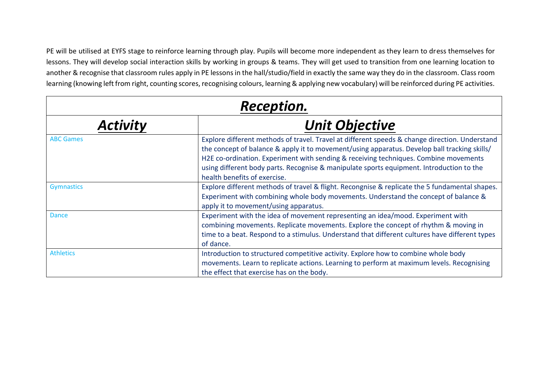PE will be utilised at EYFS stage to reinforce learning through play. Pupils will become more independent as they learn to dress themselves for lessons. They will develop social interaction skills by working in groups & teams. They will get used to transition from one learning location to another & recognise that classroom rules apply in PE lessons in the hall/studio/field in exactly the same way they do in the classroom. Class room learning (knowing left from right, counting scores, recognising colours, learning & applying new vocabulary) will be reinforced during PE activities.

| <b>Reception.</b> |                                                                                                                                                                                                                                                                                                                                                                                                                    |  |  |
|-------------------|--------------------------------------------------------------------------------------------------------------------------------------------------------------------------------------------------------------------------------------------------------------------------------------------------------------------------------------------------------------------------------------------------------------------|--|--|
| <b>Activity</b>   | <b>Unit Objective</b>                                                                                                                                                                                                                                                                                                                                                                                              |  |  |
| <b>ABC Games</b>  | Explore different methods of travel. Travel at different speeds & change direction. Understand<br>the concept of balance & apply it to movement/using apparatus. Develop ball tracking skills/<br>H2E co-ordination. Experiment with sending & receiving techniques. Combine movements<br>using different body parts. Recognise & manipulate sports equipment. Introduction to the<br>health benefits of exercise. |  |  |
| <b>Gymnastics</b> | Explore different methods of travel & flight. Recongnise & replicate the 5 fundamental shapes.<br>Experiment with combining whole body movements. Understand the concept of balance &<br>apply it to movement/using apparatus.                                                                                                                                                                                     |  |  |
| <b>Dance</b>      | Experiment with the idea of movement representing an idea/mood. Experiment with<br>combining movements. Replicate movements. Explore the concept of rhythm & moving in<br>time to a beat. Respond to a stimulus. Understand that different cultures have different types<br>of dance.                                                                                                                              |  |  |
| <b>Athletics</b>  | Introduction to structured competitive activity. Explore how to combine whole body<br>movements. Learn to replicate actions. Learning to perform at maximum levels. Recognising<br>the effect that exercise has on the body.                                                                                                                                                                                       |  |  |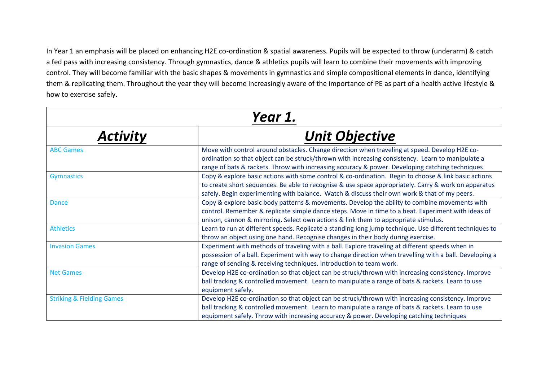In Year 1 an emphasis will be placed on enhancing H2E co-ordination & spatial awareness. Pupils will be expected to throw (underarm) & catch a fed pass with increasing consistency. Through gymnastics, dance & athletics pupils will learn to combine their movements with improving control. They will become familiar with the basic shapes & movements in gymnastics and simple compositional elements in dance, identifying them & replicating them. Throughout the year they will become increasingly aware of the importance of PE as part of a health active lifestyle & how to exercise safely.

|                                      | Year 1.                                                                                                                                                                                                                                                                                                      |
|--------------------------------------|--------------------------------------------------------------------------------------------------------------------------------------------------------------------------------------------------------------------------------------------------------------------------------------------------------------|
| <b>Activity</b>                      | <b>Unit Objective</b>                                                                                                                                                                                                                                                                                        |
| <b>ABC Games</b>                     | Move with control around obstacles. Change direction when traveling at speed. Develop H2E co-<br>ordination so that object can be struck/thrown with increasing consistency. Learn to manipulate a<br>range of bats & rackets. Throw with increasing accuracy & power. Developing catching techniques        |
| <b>Gymnastics</b>                    | Copy & explore basic actions with some control & co-ordination. Begin to choose & link basic actions<br>to create short sequences. Be able to recognise & use space appropriately. Carry & work on apparatus<br>safely. Begin experimenting with balance. Watch & discuss their own work & that of my peers. |
| <b>Dance</b>                         | Copy & explore basic body patterns & movements. Develop the ability to combine movements with<br>control. Remember & replicate simple dance steps. Move in time to a beat. Experiment with ideas of<br>unison, cannon & mirroring. Select own actions & link them to appropriate stimulus.                   |
| <b>Athletics</b>                     | Learn to run at different speeds. Replicate a standing long jump technique. Use different techniques to<br>throw an object using one hand. Recognise changes in their body during exercise.                                                                                                                  |
| <b>Invasion Games</b>                | Experiment with methods of traveling with a ball. Explore traveling at different speeds when in<br>possession of a ball. Experiment with way to change direction when travelling with a ball. Developing a<br>range of sending & receiving techniques. Introduction to team work.                            |
| <b>Net Games</b>                     | Develop H2E co-ordination so that object can be struck/thrown with increasing consistency. Improve<br>ball tracking & controlled movement. Learn to manipulate a range of bats & rackets. Learn to use<br>equipment safely.                                                                                  |
| <b>Striking &amp; Fielding Games</b> | Develop H2E co-ordination so that object can be struck/thrown with increasing consistency. Improve<br>ball tracking & controlled movement. Learn to manipulate a range of bats & rackets. Learn to use<br>equipment safely. Throw with increasing accuracy & power. Developing catching techniques           |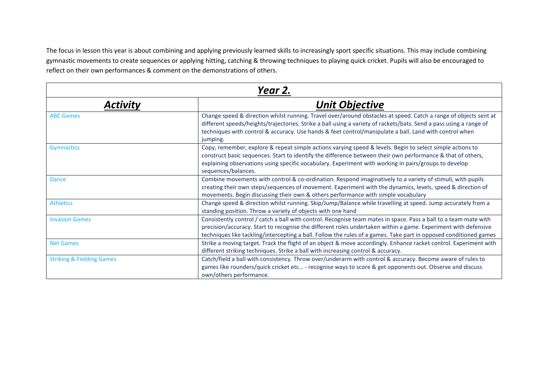The focus in lesson this year is about combining and applying previously learned skills to increasingly sport specific situations. This may include combining gymnastic movements to create sequences or applying hitting, catching & throwing techniques to playing quick cricket. Pupils will also be encouraged to reflect on their own performances & comment on the demonstrations of others.

| Year 2.                              |                                                                                                                                                                                                                                                                                                                                                              |  |  |
|--------------------------------------|--------------------------------------------------------------------------------------------------------------------------------------------------------------------------------------------------------------------------------------------------------------------------------------------------------------------------------------------------------------|--|--|
| <b>Activity</b>                      | <b>Unit Objective</b>                                                                                                                                                                                                                                                                                                                                        |  |  |
| <b>ABC Games</b>                     | Change speed & direction whilst running. Travel over/around obstacles at speed. Catch a range of objects sent at<br>different speeds/heights/trajectories. Strike a ball using a variety of rackets/bats. Send a pass using a range of<br>techniques with control & accuracy. Use hands & feet control/manipulate a ball. Land with control when<br>jumping. |  |  |
| <b>Gymnastics</b>                    | Copy, remember, explore & repeat simple actions varying speed & levels. Begin to select simple actions to<br>construct basic sequences. Start to identify the difference between their own performance & that of others,<br>explaining observations using specific vocabulary. Experiment with working in pairs/groups to develop<br>sequences/balances.     |  |  |
| <b>Dance</b>                         | Combine movements with control & co-ordination. Respond imaginatively to a variety of stimuli, with pupils<br>creating their own steps/sequences of movement. Experiment with the dynamics, levels, speed & direction of<br>movements. Begin discussing their own & others performance with simple vocabulary                                                |  |  |
| <b>Athletics</b>                     | Change speed & direction whilst running. Skip/Jump/Balance while travelling at speed. Jump accurately from a<br>standing position. Throw a variety of objects with one hand                                                                                                                                                                                  |  |  |
| <b>Invasion Games</b>                | Consistently control / catch a ball with control. Recognise team mates in space. Pass a ball to a team mate with<br>precision/accuracy. Start to recognise the different roles undertaken within a game. Experiment with defensive<br>techniques like tackling/intercepting a ball. Follow the rules of a games. Take part in opposed conditioned games      |  |  |
| <b>Net Games</b>                     | Strike a moving target. Track the flight of an object & move accordingly. Enhance racket control. Experiment with<br>different striking techniques. Strike a ball with increasing control & accuracy.                                                                                                                                                        |  |  |
| <b>Striking &amp; Fielding Games</b> | Catch/field a ball with consistency. Throw over/underarm with control & accuracy. Become aware of rules to<br>games like rounders/quick cricket etc - recognise ways to score & get opponents out. Observe and discuss<br>own/others performance.                                                                                                            |  |  |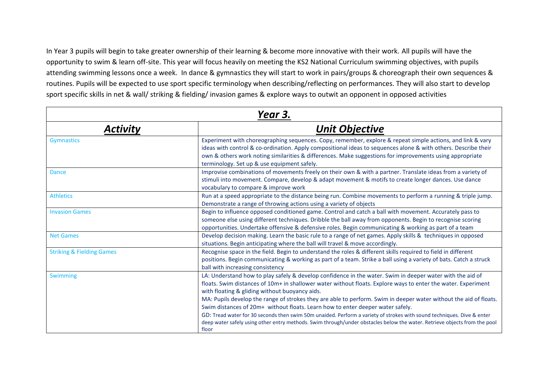In Year 3 pupils will begin to take greater ownership of their learning & become more innovative with their work. All pupils will have the opportunity to swim & learn off-site. This year will focus heavily on meeting the KS2 National Curriculum swimming objectives, with pupils attending swimming lessons once a week. In dance & gymnastics they will start to work in pairs/groups & choreograph their own sequences & routines. Pupils will be expected to use sport specific terminology when describing/reflecting on performances. They will also start to develop sport specific skills in net & wall/ striking & fielding/ invasion games & explore ways to outwit an opponent in opposed activities

|                                      | Year 3.                                                                                                                                                                                                                                                                                                                                                                                                                                                                                                                                                                                                                                                                                                                                             |
|--------------------------------------|-----------------------------------------------------------------------------------------------------------------------------------------------------------------------------------------------------------------------------------------------------------------------------------------------------------------------------------------------------------------------------------------------------------------------------------------------------------------------------------------------------------------------------------------------------------------------------------------------------------------------------------------------------------------------------------------------------------------------------------------------------|
| Activity                             | <b>Unit Objective</b>                                                                                                                                                                                                                                                                                                                                                                                                                                                                                                                                                                                                                                                                                                                               |
| Gymnastics                           | Experiment with choreographing sequences. Copy, remember, explore & repeat simple actions, and link & vary<br>ideas with control & co-ordination. Apply compositional ideas to sequences alone & with others. Describe their<br>own & others work noting similarities & differences. Make suggestions for improvements using appropriate<br>terminology. Set up & use equipment safely.                                                                                                                                                                                                                                                                                                                                                             |
| <b>Dance</b>                         | Improvise combinations of movements freely on their own & with a partner. Translate ideas from a variety of<br>stimuli into movement. Compare, develop & adapt movement & motifs to create longer dances. Use dance<br>vocabulary to compare & improve work                                                                                                                                                                                                                                                                                                                                                                                                                                                                                         |
| <b>Athletics</b>                     | Run at a speed appropriate to the distance being run. Combine movements to perform a running & triple jump.<br>Demonstrate a range of throwing actions using a variety of objects                                                                                                                                                                                                                                                                                                                                                                                                                                                                                                                                                                   |
| <b>Invasion Games</b>                | Begin to influence opposed conditioned game. Control and catch a ball with movement. Accurately pass to<br>someone else using different techniques. Dribble the ball away from opponents. Begin to recognise scoring<br>opportunities. Undertake offensive & defensive roles. Begin communicating & working as part of a team                                                                                                                                                                                                                                                                                                                                                                                                                       |
| <b>Net Games</b>                     | Develop decision making. Learn the basic rule to a range of net games. Apply skills & techniques in opposed<br>situations. Begin anticipating where the ball will travel & move accordingly.                                                                                                                                                                                                                                                                                                                                                                                                                                                                                                                                                        |
| <b>Striking &amp; Fielding Games</b> | Recognise space in the field. Begin to understand the roles & different skills required to field in different<br>positions. Begin communicating & working as part of a team. Strike a ball using a variety of bats. Catch a struck<br>ball with increasing consistency                                                                                                                                                                                                                                                                                                                                                                                                                                                                              |
| Swimming                             | LA: Understand how to play safely & develop confidence in the water. Swim in deeper water with the aid of<br>floats. Swim distances of 10m+ in shallower water without floats. Explore ways to enter the water. Experiment<br>with floating & gliding without buoyancy aids.<br>MA: Pupils develop the range of strokes they are able to perform. Swim in deeper water without the aid of floats.<br>Swim distances of 20m+ without floats. Learn how to enter deeper water safely.<br>GD: Tread water for 30 seconds then swim 50m unaided. Perform a variety of strokes with sound techniques. Dive & enter<br>deep water safely using other entry methods. Swim through/under obstacles below the water. Retrieve objects from the pool<br>floor |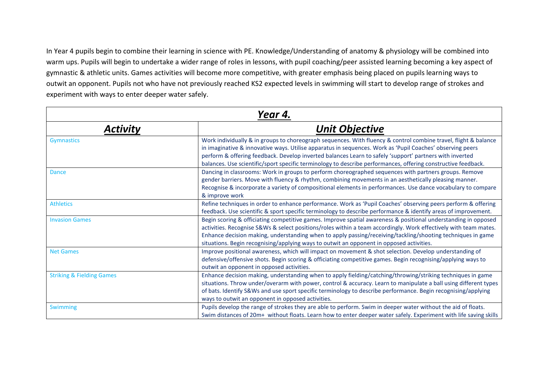In Year 4 pupils begin to combine their learning in science with PE. Knowledge/Understanding of anatomy & physiology will be combined into warm ups. Pupils will begin to undertake a wider range of roles in lessons, with pupil coaching/peer assisted learning becoming a key aspect of gymnastic & athletic units. Games activities will become more competitive, with greater emphasis being placed on pupils learning ways to outwit an opponent. Pupils not who have not previously reached KS2 expected levels in swimming will start to develop range of strokes and experiment with ways to enter deeper water safely.

| Year 4.                              |                                                                                                                                                                                                                                                                                                                                                                                                                                                          |  |  |
|--------------------------------------|----------------------------------------------------------------------------------------------------------------------------------------------------------------------------------------------------------------------------------------------------------------------------------------------------------------------------------------------------------------------------------------------------------------------------------------------------------|--|--|
| <b>Activity</b>                      | <b>Unit Objective</b>                                                                                                                                                                                                                                                                                                                                                                                                                                    |  |  |
| <b>Gymnastics</b>                    | Work individually & in groups to choreograph sequences. With fluency & control combine travel, flight & balance<br>in imaginative & innovative ways. Utilise apparatus in sequences. Work as 'Pupil Coaches' observing peers<br>perform & offering feedback. Develop inverted balances Learn to safely 'support' partners with inverted<br>balances. Use scientific/sport specific terminology to describe performances, offering constructive feedback. |  |  |
| <b>Dance</b>                         | Dancing in classrooms: Work in groups to perform choreographed sequences with partners groups. Remove<br>gender barriers. Move with fluency & rhythm, combining movements in an aesthetically pleasing manner.<br>Recognise & incorporate a variety of compositional elements in performances. Use dance vocabulary to compare<br>& improve work                                                                                                         |  |  |
| <b>Athletics</b>                     | Refine techniques in order to enhance performance. Work as 'Pupil Coaches' observing peers perform & offering<br>feedback. Use scientific & sport specific terminology to describe performance & identify areas of improvement.                                                                                                                                                                                                                          |  |  |
| <b>Invasion Games</b>                | Begin scoring & officiating competitive games. Improve spatial awareness & positional understanding in opposed<br>activities. Recognise S&Ws & select positions/roles within a team accordingly. Work effectively with team mates.<br>Enhance decision making, understanding when to apply passing/receiving/tackling/shooting techniques in game<br>situations. Begin recognising/applying ways to outwit an opponent in opposed activities.            |  |  |
| <b>Net Games</b>                     | Improve positional awareness, which will impact on movement & shot selection. Develop understanding of<br>defensive/offensive shots. Begin scoring & officiating competitive games. Begin recognising/applying ways to<br>outwit an opponent in opposed activities.                                                                                                                                                                                      |  |  |
| <b>Striking &amp; Fielding Games</b> | Enhance decision making, understanding when to apply fielding/catching/throwing/striking techniques in game<br>situations. Throw under/overarm with power, control & accuracy. Learn to manipulate a ball using different types<br>of bats. Identify S&Ws and use sport specific terminology to describe performance. Begin recognising/applying<br>ways to outwit an opponent in opposed activities.                                                    |  |  |
| <b>Swimming</b>                      | Pupils develop the range of strokes they are able to perform. Swim in deeper water without the aid of floats.<br>Swim distances of 20m+ without floats. Learn how to enter deeper water safely. Experiment with life saving skills                                                                                                                                                                                                                       |  |  |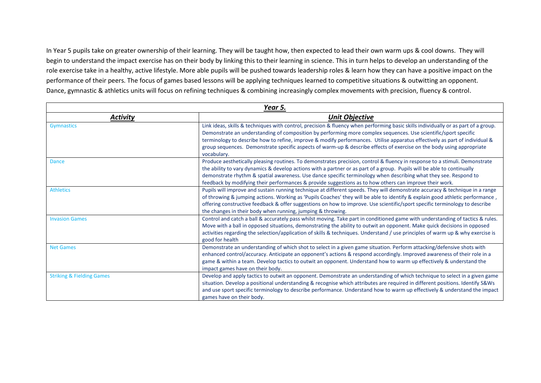In Year 5 pupils take on greater ownership of their learning. They will be taught how, then expected to lead their own warm ups & cool downs. They will begin to understand the impact exercise has on their body by linking this to their learning in science. This in turn helps to develop an understanding of the role exercise take in a healthy, active lifestyle. More able pupils will be pushed towards leadership roles & learn how they can have a positive impact on the performance of their peers. The focus of games based lessons will be applying techniques learned to competitive situations & outwitting an opponent. Dance, gymnastic & athletics units will focus on refining techniques & combining increasingly complex movements with precision, fluency & control.

|                                      | Year 5.                                                                                                                                                                                                                                                                                                                                                                                                                                                                                                                      |
|--------------------------------------|------------------------------------------------------------------------------------------------------------------------------------------------------------------------------------------------------------------------------------------------------------------------------------------------------------------------------------------------------------------------------------------------------------------------------------------------------------------------------------------------------------------------------|
| <b>Activity</b>                      | <b>Unit Objective</b>                                                                                                                                                                                                                                                                                                                                                                                                                                                                                                        |
| <b>Gymnastics</b>                    | Link ideas, skills & techniques with control, precision & fluency when performing basic skills individually or as part of a group.<br>Demonstrate an understanding of composition by performing more complex sequences. Use scientific/sport specific<br>terminology to describe how to refine, improve & modify performances. Utilise apparatus effectively as part of individual &<br>group sequences. Demonstrate specific aspects of warm-up & describe effects of exercise on the body using appropriate<br>vocabulary. |
| <b>Dance</b>                         | Produce aesthetically pleasing routines. To demonstrates precision, control & fluency in response to a stimuli. Demonstrate<br>the ability to vary dynamics & develop actions with a partner or as part of a group. Pupils will be able to continually<br>demonstrate rhythm & spatial awareness. Use dance specific terminology when describing what they see. Respond to<br>feedback by modifying their performances & provide suggestions as to how others can improve their work.                                        |
| <b>Athletics</b>                     | Pupils will improve and sustain running technique at different speeds. They will demonstrate accuracy & technique in a range<br>of throwing & jumping actions. Working as 'Pupils Coaches' they will be able to identify & explain good athletic performance,<br>offering constructive feedback & offer suggestions on how to improve. Use scientific/sport specific terminology to describe<br>the changes in their body when running, jumping & throwing.                                                                  |
| <b>Invasion Games</b>                | Control and catch a ball & accurately pass whilst moving. Take part in conditioned game with understanding of tactics & rules.<br>Move with a ball in opposed situations, demonstrating the ability to outwit an opponent. Make quick decisions in opposed<br>activities regarding the selection/application of skills & techniques. Understand / use principles of warm up & why exercise is<br>good for health                                                                                                             |
| <b>Net Games</b>                     | Demonstrate an understanding of which shot to select in a given game situation. Perform attacking/defensive shots with<br>enhanced control/accuracy. Anticipate an opponent's actions & respond accordingly. Improved awareness of their role in a<br>game & within a team. Develop tactics to outwit an opponent. Understand how to warm up effectively & understand the<br>impact games have on their body.                                                                                                                |
| <b>Striking &amp; Fielding Games</b> | Develop and apply tactics to outwit an opponent. Demonstrate an understanding of which technique to select in a given game<br>situation. Develop a positional understanding & recognise which attributes are required in different positions. Identify S&Ws<br>and use sport specific terminology to describe performance. Understand how to warm up effectively & understand the impact<br>games have on their body.                                                                                                        |